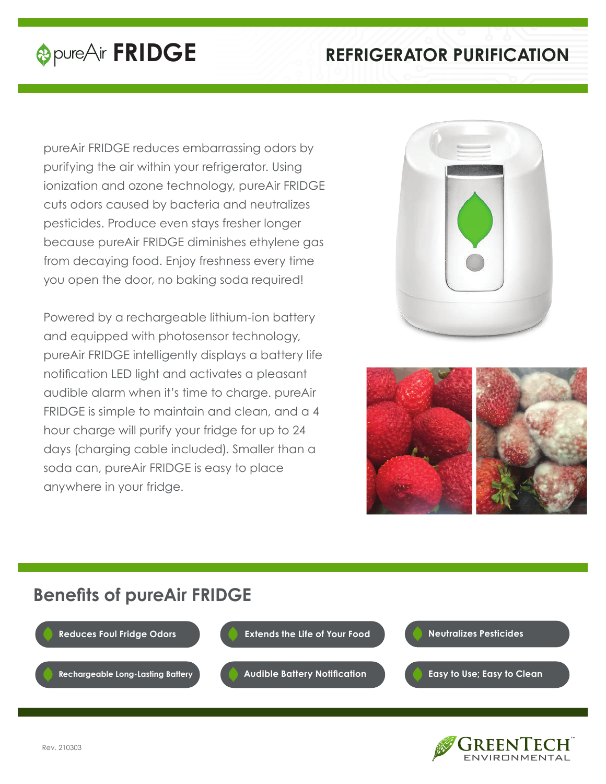# **EXECUTE PURIFICATION REFRIGERATOR PURIFICATION**

pureAir FRIDGE reduces embarrassing odors by purifying the air within your refrigerator. Using ionization and ozone technology, pureAir FRIDGE cuts odors caused by bacteria and neutralizes pesticides. Produce even stays fresher longer because pureAir FRIDGE diminishes ethylene gas from decaying food. Enjoy freshness every time you open the door, no baking soda required!

Powered by a rechargeable lithium-ion battery and equipped with photosensor technology, pureAir FRIDGE intelligently displays a battery life notification LED light and activates a pleasant audible alarm when it's time to charge. pureAir FRIDGE is simple to maintain and clean, and a 4 hour charge will purify your fridge for up to 24 days (charging cable included). Smaller than a soda can, pureAir FRIDGE is easy to place anywhere in your fridge.





## **Benefits of pureAir FRIDGE**